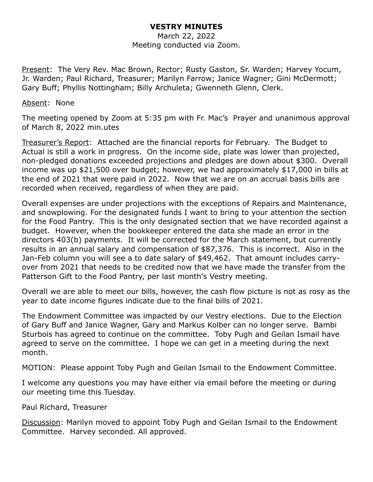### **VESTRY MINUTES**

March 22, 2022 Meeting conducted via Zoom.

Present: The Very Rev. Mac Brown, Rector; Rusty Gaston, Sr. Warden; Harvey Yocum, Jr. Warden; Paul Richard, Treasurer; Marilyn Farrow; Janice Wagner; Gini McDermott; Gary Buff; Phyllis Nottingham; Billy Archuleta; Gwenneth Glenn, Clerk.

#### Absent: None

The meeting opened by Zoom at 5:35 pm with Fr. Mac's Prayer and unanimous approval of March 8, 2022 min.utes

Treasurer's Report: Attached are the financial reports for February. The Budget to Actual is still a work in progress. On the income side, plate was lower than projected, non-pledged donations exceeded projections and pledges are down about \$300. Overall income was up \$21,500 over budget; however, we had approximately \$17,000 in bills at the end of 2021 that were paid in 2022. Now that we are on an accrual basis bills are recorded when received, regardless of when they are paid.

Overall expenses are under projections with the exceptions of Repairs and Maintenance, and snowplowing. For the designated funds I want to bring to your attention the section for the Food Pantry. This is the only designated section that we have recorded against a budget. However, when the bookkeeper entered the data she made an error in the directors 403(b) payments. It will be corrected for the March statement, but currently results in an annual salary and compensation of \$87,376. This is incorrect. Also in the Jan-Feb column you will see a to date salary of \$49,462. That amount includes carryover from 2021 that needs to be credited now that we have made the transfer from the Patterson Gift to the Food Pantry, per last month's Vestry meeting.

Overall we are able to meet our bills, however, the cash flow picture is not as rosy as the year to date income figures indicate due to the final bills of 2021.

The Endowment Committee was impacted by our Vestry elections. Due to the Election of Gary Buff and Janice Wagner, Gary and Markus Kolber can no longer serve. Bambi Sturbois has agreed to continue on the committee. Toby Pugh and Geilan Ismail have agreed to serve on the committee. I hope we can get in a meeting during the next month.

MOTION: Please appoint Toby Pugh and Geilan Ismail to the Endowment Committee.

I welcome any questions you may have either via email before the meeting or during our meeting time this Tuesday.

### Paul Richard, Treasurer

Discussion: Marilyn moved to appoint Toby Pugh and Geilan Ismail to the Endowment Committee. Harvey seconded. All approved.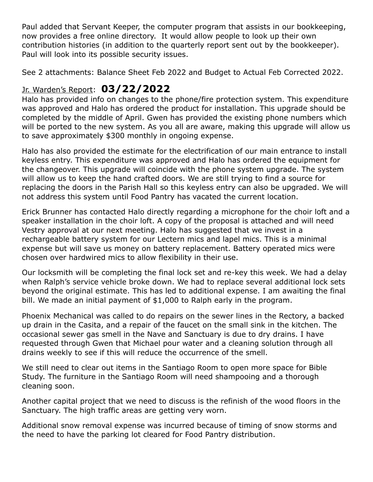Paul added that Servant Keeper, the computer program that assists in our bookkeeping, now provides a free online directory. It would allow people to look up their own contribution histories (in addition to the quarterly report sent out by the bookkeeper). Paul will look into its possible security issues.

See 2 attachments: Balance Sheet Feb 2022 and Budget to Actual Feb Corrected 2022.

# Jr. Warden's Report: **03/22/2022**

Halo has provided info on changes to the phone/fire protection system. This expenditure was approved and Halo has ordered the product for installation. This upgrade should be completed by the middle of April. Gwen has provided the existing phone numbers which will be ported to the new system. As you all are aware, making this upgrade will allow us to save approximately \$300 monthly in ongoing expense.

Halo has also provided the estimate for the electrification of our main entrance to install keyless entry. This expenditure was approved and Halo has ordered the equipment for the changeover. This upgrade will coincide with the phone system upgrade. The system will allow us to keep the hand crafted doors. We are still trying to find a source for replacing the doors in the Parish Hall so this keyless entry can also be upgraded. We will not address this system until Food Pantry has vacated the current location.

Erick Brunner has contacted Halo directly regarding a microphone for the choir loft and a speaker installation in the choir loft. A copy of the proposal is attached and will need Vestry approval at our next meeting. Halo has suggested that we invest in a rechargeable battery system for our Lectern mics and lapel mics. This is a minimal expense but will save us money on battery replacement. Battery operated mics were chosen over hardwired mics to allow flexibility in their use.

Our locksmith will be completing the final lock set and re-key this week. We had a delay when Ralph's service vehicle broke down. We had to replace several additional lock sets beyond the original estimate. This has led to additional expense. I am awaiting the final bill. We made an initial payment of \$1,000 to Ralph early in the program.

Phoenix Mechanical was called to do repairs on the sewer lines in the Rectory, a backed up drain in the Casita, and a repair of the faucet on the small sink in the kitchen. The occasional sewer gas smell in the Nave and Sanctuary is due to dry drains. I have requested through Gwen that Michael pour water and a cleaning solution through all drains weekly to see if this will reduce the occurrence of the smell.

We still need to clear out items in the Santiago Room to open more space for Bible Study. The furniture in the Santiago Room will need shampooing and a thorough cleaning soon.

Another capital project that we need to discuss is the refinish of the wood floors in the Sanctuary. The high traffic areas are getting very worn.

Additional snow removal expense was incurred because of timing of snow storms and the need to have the parking lot cleared for Food Pantry distribution.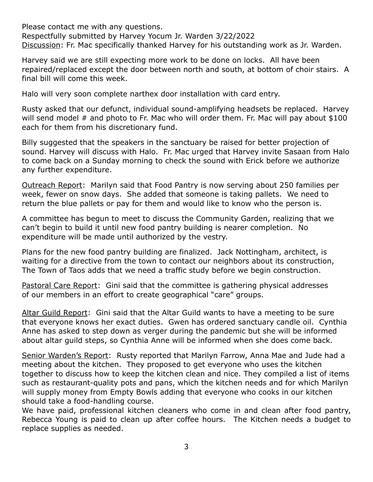Please contact me with any questions. Respectfully submitted by Harvey Yocum Jr. Warden 3/22/2022 Discussion: Fr. Mac specifically thanked Harvey for his outstanding work as Jr. Warden.

Harvey said we are still expecting more work to be done on locks. All have been repaired/replaced except the door between north and south, at bottom of choir stairs. A final bill will come this week.

Halo will very soon complete narthex door installation with card entry.

Rusty asked that our defunct, individual sound-amplifying headsets be replaced. Harvey will send model # and photo to Fr. Mac who will order them. Fr. Mac will pay about \$100 each for them from his discretionary fund.

Billy suggested that the speakers in the sanctuary be raised for better projection of sound. Harvey will discuss with Halo. Fr. Mac urged that Harvey invite Sasaan from Halo to come back on a Sunday morning to check the sound with Erick before we authorize any further expenditure.

Outreach Report: Marilyn said that Food Pantry is now serving about 250 families per week, fewer on snow days. She added that someone is taking pallets. We need to return the blue pallets or pay for them and would like to know who the person is.

A committee has begun to meet to discuss the Community Garden, realizing that we can't begin to build it until new food pantry building is nearer completion. No expenditure will be made until authorized by the vestry.

Plans for the new food pantry building are finalized. Jack Nottingham, architect, is waiting for a directive from the town to contact our neighbors about its construction, The Town of Taos adds that we need a traffic study before we begin construction.

Pastoral Care Report: Gini said that the committee is gathering physical addresses of our members in an effort to create geographical "care" groups.

Altar Guild Report: Gini said that the Altar Guild wants to have a meeting to be sure that everyone knows her exact duties. Gwen has ordered sanctuary candle oil. Cynthia Anne has asked to step down as verger during the pandemic but she will be informed about altar guild steps, so Cynthia Anne will be informed when she does come back.

Senior Warden's Report: Rusty reported that Marilyn Farrow, Anna Mae and Jude had a meeting about the kitchen. They proposed to get everyone who uses the kitchen together to discuss how to keep the kitchen clean and nice. They compiled a list of items such as restaurant-quality pots and pans, which the kitchen needs and for which Marilyn will supply money from Empty Bowls adding that everyone who cooks in our kitchen should take a food-handling course.

We have paid, professional kitchen cleaners who come in and clean after food pantry, Rebecca Young is paid to clean up after coffee hours. The Kitchen needs a budget to replace supplies as needed.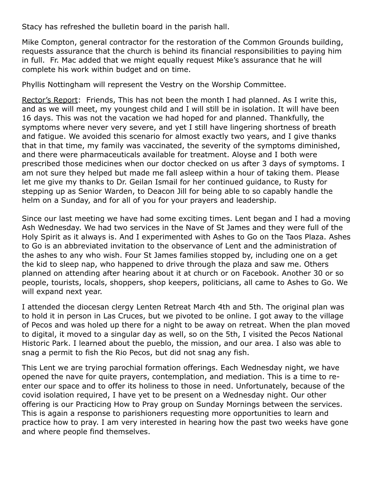Stacy has refreshed the bulletin board in the parish hall.

Mike Compton, general contractor for the restoration of the Common Grounds building, requests assurance that the church is behind its financial responsibilities to paying him in full. Fr. Mac added that we might equally request Mike's assurance that he will complete his work within budget and on time.

Phyllis Nottingham will represent the Vestry on the Worship Committee.

Rector's Report: Friends, This has not been the month I had planned. As I write this, and as we will meet, my youngest child and I will still be in isolation. It will have been 16 days. This was not the vacation we had hoped for and planned. Thankfully, the symptoms where never very severe, and yet I still have lingering shortness of breath and fatigue. We avoided this scenario for almost exactly two years, and I give thanks that in that time, my family was vaccinated, the severity of the symptoms diminished, and there were pharmaceuticals available for treatment. Aloyse and I both were prescribed those medicines when our doctor checked on us after 3 days of symptoms. I am not sure they helped but made me fall asleep within a hour of taking them. Please let me give my thanks to Dr. Geilan Ismail for her continued guidance, to Rusty for stepping up as Senior Warden, to Deacon Jill for being able to so capably handle the helm on a Sunday, and for all of you for your prayers and leadership.

Since our last meeting we have had some exciting times. Lent began and I had a moving Ash Wednesday. We had two services in the Nave of St James and they were full of the Holy Spirit as it always is. And I experimented with Ashes to Go on the Taos Plaza. Ashes to Go is an abbreviated invitation to the observance of Lent and the administration of the ashes to any who wish. Four St James families stopped by, including one on a get the kid to sleep nap, who happened to drive through the plaza and saw me. Others planned on attending after hearing about it at church or on Facebook. Another 30 or so people, tourists, locals, shoppers, shop keepers, politicians, all came to Ashes to Go. We will expand next year.

I attended the diocesan clergy Lenten Retreat March 4th and 5th. The original plan was to hold it in person in Las Cruces, but we pivoted to be online. I got away to the village of Pecos and was holed up there for a night to be away on retreat. When the plan moved to digital, it moved to a singular day as well, so on the 5th, I visited the Pecos National Historic Park. I learned about the pueblo, the mission, and our area. I also was able to snag a permit to fish the Rio Pecos, but did not snag any fish.

This Lent we are trying parochial formation offerings. Each Wednesday night, we have opened the nave for quite prayers, contemplation, and mediation. This is a time to reenter our space and to offer its holiness to those in need. Unfortunately, because of the covid isolation required, I have yet to be present on a Wednesday night. Our other offering is our Practicing How to Pray group on Sunday Mornings between the services. This is again a response to parishioners requesting more opportunities to learn and practice how to pray. I am very interested in hearing how the past two weeks have gone and where people find themselves.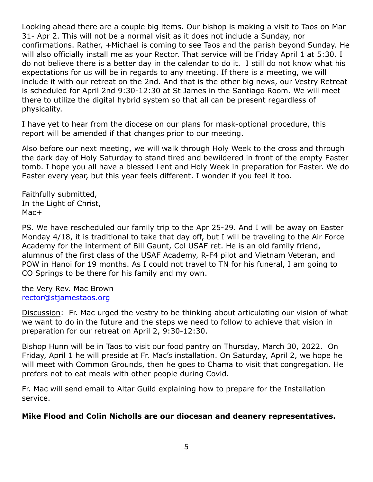Looking ahead there are a couple big items. Our bishop is making a visit to Taos on Mar 31- Apr 2. This will not be a normal visit as it does not include a Sunday, nor confirmations. Rather, +Michael is coming to see Taos and the parish beyond Sunday. He will also officially install me as your Rector. That service will be Friday April 1 at 5:30. I do not believe there is a better day in the calendar to do it. I still do not know what his expectations for us will be in regards to any meeting. If there is a meeting, we will include it with our retreat on the 2nd. And that is the other big news, our Vestry Retreat is scheduled for April 2nd 9:30-12:30 at St James in the Santiago Room. We will meet there to utilize the digital hybrid system so that all can be present regardless of physicality.

I have yet to hear from the diocese on our plans for mask-optional procedure, this report will be amended if that changes prior to our meeting.

Also before our next meeting, we will walk through Holy Week to the cross and through the dark day of Holy Saturday to stand tired and bewildered in front of the empty Easter tomb. I hope you all have a blessed Lent and Holy Week in preparation for Easter. We do Easter every year, but this year feels different. I wonder if you feel it too.

Faithfully submitted, In the Light of Christ, Mac+

PS. We have rescheduled our family trip to the Apr 25-29. And I will be away on Easter Monday 4/18, it is traditional to take that day off, but I will be traveling to the Air Force Academy for the interment of Bill Gaunt, Col USAF ret. He is an old family friend, alumnus of the first class of the USAF Academy, R-F4 pilot and Vietnam Veteran, and POW in Hanoi for 19 months. As I could not travel to TN for his funeral, I am going to CO Springs to be there for his family and my own.

the Very Rev. Mac Brown [rector@stjamestaos.org](mailto:rector@stjamestaos.org)

Discussion: Fr. Mac urged the vestry to be thinking about articulating our vision of what we want to do in the future and the steps we need to follow to achieve that vision in preparation for our retreat on April 2, 9:30-12:30.

Bishop Hunn will be in Taos to visit our food pantry on Thursday, March 30, 2022. On Friday, April 1 he will preside at Fr. Mac's installation. On Saturday, April 2, we hope he will meet with Common Grounds, then he goes to Chama to visit that congregation. He prefers not to eat meals with other people during Covid.

Fr. Mac will send email to Altar Guild explaining how to prepare for the Installation service.

## **Mike Flood and Colin Nicholls are our diocesan and deanery representatives.**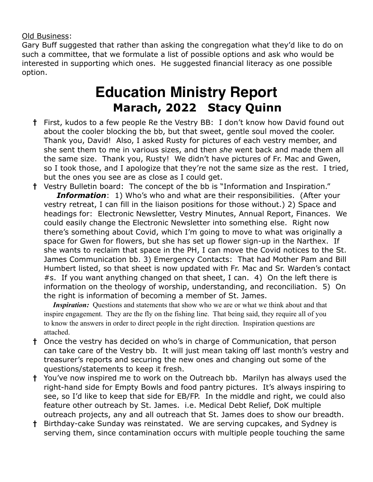Old Business:

Gary Buff suggested that rather than asking the congregation what they'd like to do on such a committee, that we formulate a list of possible options and ask who would be interested in supporting which ones. He suggested financial literacy as one possible option.

# **Education Ministry Report Marach, 2022 Stacy Quinn**

- **†** First, kudos to a few people Re the Vestry BB: I don't know how David found out about the cooler blocking the bb, but that sweet, gentle soul moved the cooler. Thank you, David! Also, I asked Rusty for pictures of each vestry member, and she sent them to me in various sizes, and then *she* went back and made them all the same size. Thank you, Rusty! We didn't have pictures of Fr. Mac and Gwen, so I took those, and I apologize that they're not the same size as the rest. I tried, but the ones you see are as close as I could get.
- **†** Vestry Bulletin board: The concept of the bb is "Information and Inspiration." *Information*: 1) Who's who and what are their responsibilities. (After your vestry retreat, I can fill in the liaison positions for those without.) 2) Space and headings for: Electronic Newsletter, Vestry Minutes, Annual Report, Finances. We could easily change the Electronic Newsletter into something else. Right now there's something about Covid, which I'm going to move to what was originally a space for Gwen for flowers, but she has set up flower sign-up in the Narthex. If she wants to reclaim that space in the PH, I can move the Covid notices to the St. James Communication bb. 3) Emergency Contacts: That had Mother Pam and Bill Humbert listed, so that sheet is now updated with Fr. Mac and Sr. Warden's contact #s. If you want anything changed on that sheet, I can. 4) On the left there is information on the theology of worship, understanding, and reconciliation. 5) On the right is information of becoming a member of St. James.

*Inspiration:* Questions and statements that show who we are or what we think about and that inspire engagement. They are the fly on the fishing line. That being said, they require all of you to know the answers in order to direct people in the right direction. Inspiration questions are attached.

- **†** Once the vestry has decided on who's in charge of Communication, that person can take care of the Vestry bb. It will just mean taking off last month's vestry and treasurer's reports and securing the new ones and changing out some of the questions/statements to keep it fresh.
- **†** You've now inspired me to work on the Outreach bb. Marilyn has always used the right-hand side for Empty Bowls and food pantry pictures. It's always inspiring to see, so I'd like to keep that side for EB/FP. In the middle and right, we could also feature other outreach by St. James. i.e. Medical Debt Relief, DoK multiple outreach projects, any and all outreach that St. James does to show our breadth.
- **†** Birthday-cake Sunday was reinstated. We are serving cupcakes, and Sydney is serving them, since contamination occurs with multiple people touching the same